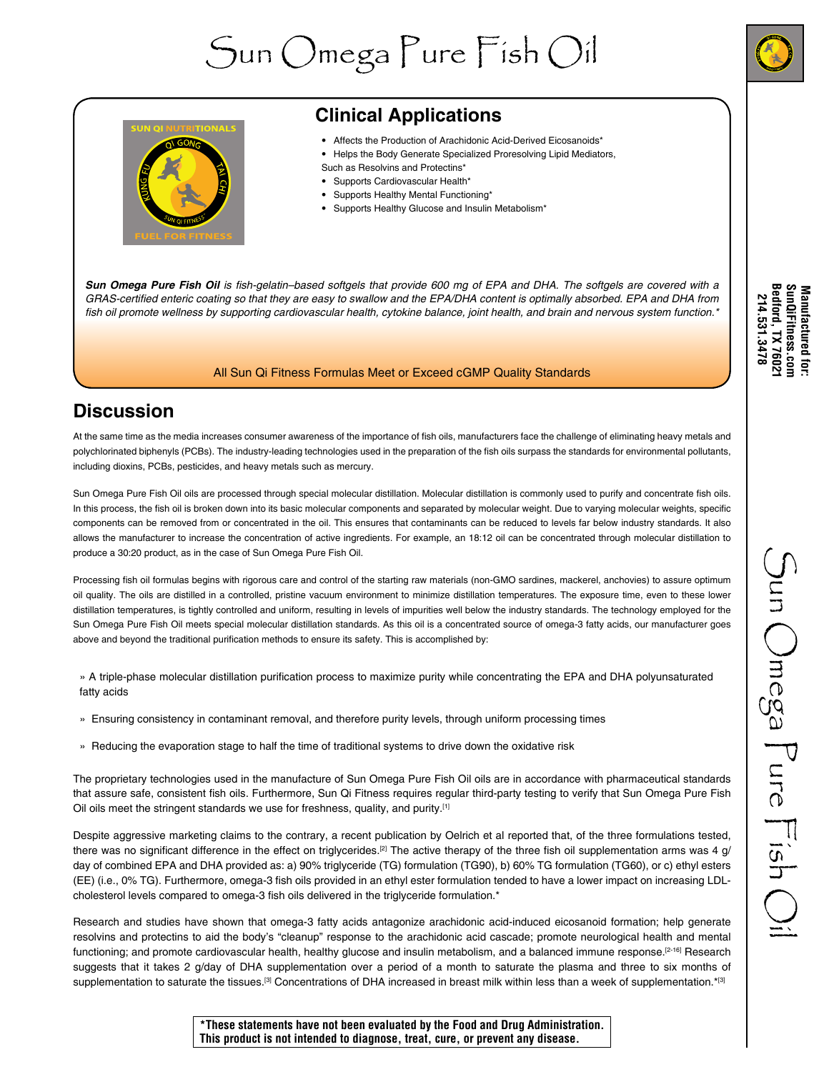# Sun Omega Pure Fish Oil



# **Clinical Applications**

- Affects the Production of Arachidonic Acid-Derived Eicosanoids\*
- Helps the Body Generate Specialized Proresolving Lipid Mediators, Such as Resolvins and Protectins\*
- Supports Cardiovascular Health\*
- Supports Healthy Mental Functioning\*
- Supports Healthy Glucose and Insulin Metabolism\*

*Sun Omega Pure Fish Oil* is fish-gelatin–based softgels that provide 600 mg of EPA and DHA. The softgels are covered with a GRAS-certified enteric coating so that they are easy to swallow and the EPA/DHA content is optimally absorbed. EPA and DHA from fish oil promote wellness by supporting cardiovascular health, cytokine balance, joint health, and brain and nervous system function.\*

#### All Sun Qi Fitness Formulas Meet or Exceed cGMP Quality Standards

# **Discussion**

At the same time as the media increases consumer awareness of the importance of fish oils, manufacturers face the challenge of eliminating heavy metals and polychlorinated biphenyls (PCBs). The industry-leading technologies used in the preparation of the fish oils surpass the standards for environmental pollutants, including dioxins, PCBs, pesticides, and heavy metals such as mercury.

Sun Omega Pure Fish Oil oils are processed through special molecular distillation. Molecular distillation is commonly used to purify and concentrate fish oils. In this process, the fish oil is broken down into its basic molecular components and separated by molecular weight. Due to varying molecular weights, specific components can be removed from or concentrated in the oil. This ensures that contaminants can be reduced to levels far below industry standards. It also allows the manufacturer to increase the concentration of active ingredients. For example, an 18:12 oil can be concentrated through molecular distillation to produce a 30:20 product, as in the case of Sun Omega Pure Fish Oil.

Processing fish oil formulas begins with rigorous care and control of the starting raw materials (non-GMO sardines, mackerel, anchovies) to assure optimum oil quality. The oils are distilled in a controlled, pristine vacuum environment to minimize distillation temperatures. The exposure time, even to these lower distillation temperatures, is tightly controlled and uniform, resulting in levels of impurities well below the industry standards. The technology employed for the Sun Omega Pure Fish Oil meets special molecular distillation standards. As this oil is a concentrated source of omega-3 fatty acids, our manufacturer goes above and beyond the traditional purification methods to ensure its safety. This is accomplished by:

» A triple-phase molecular distillation purification process to maximize purity while concentrating the EPA and DHA polyunsaturated fatty acids

- » Ensuring consistency in contaminant removal, and therefore purity levels, through uniform processing times
- » Reducing the evaporation stage to half the time of traditional systems to drive down the oxidative risk

The proprietary technologies used in the manufacture of Sun Omega Pure Fish Oil oils are in accordance with pharmaceutical standards that assure safe, consistent fish oils. Furthermore, Sun Qi Fitness requires regular third-party testing to verify that Sun Omega Pure Fish Oil oils meet the stringent standards we use for freshness, quality, and purity.<sup>[1]</sup>

Despite aggressive marketing claims to the contrary, a recent publication by Oelrich et al reported that, of the three formulations tested, there was no significant difference in the effect on triglycerides.<sup>[2]</sup> The active therapy of the three fish oil supplementation arms was 4 g/ day of combined EPA and DHA provided as: a) 90% triglyceride (TG) formulation (TG90), b) 60% TG formulation (TG60), or c) ethyl esters (EE) (i.e., 0% TG). Furthermore, omega-3 fish oils provided in an ethyl ester formulation tended to have a lower impact on increasing LDLcholesterol levels compared to omega-3 fish oils delivered in the triglyceride formulation.\*

Research and studies have shown that omega-3 fatty acids antagonize arachidonic acid-induced eicosanoid formation; help generate resolvins and protectins to aid the body's "cleanup" response to the arachidonic acid cascade; promote neurological health and mental functioning; and promote cardiovascular health, healthy glucose and insulin metabolism, and a balanced immune response.<sup>[2-16]</sup> Research suggests that it takes 2 g/day of DHA supplementation over a period of a month to saturate the plasma and three to six months of supplementation to saturate the tissues.<sup>[3]</sup> Concentrations of DHA increased in breast milk within less than a week of supplementation.\*[3]

Manufactured for:<br>SunQiFitness.com<br>Bedford, TX 76021<br>214.531.3478 **Bedford, TX 76021 SunQiFitness.com Manufactured for: 214.531.3478** 

**\*These statements have not been evaluated by the Food and Drug Administration. This product is not intended to diagnose, treat, cure, or prevent any disease.**